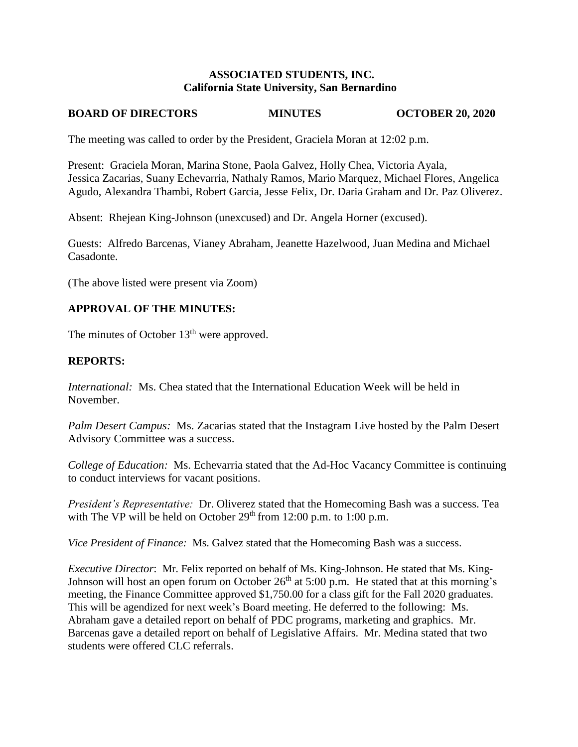### **ASSOCIATED STUDENTS, INC. California State University, San Bernardino**

# **BOARD OF DIRECTORS MINUTES OCTOBER 20, 2020**

The meeting was called to order by the President, Graciela Moran at 12:02 p.m.

Present: Graciela Moran, Marina Stone, Paola Galvez, Holly Chea, Victoria Ayala, Jessica Zacarias, Suany Echevarria, Nathaly Ramos, Mario Marquez, Michael Flores, Angelica Agudo, Alexandra Thambi, Robert Garcia, Jesse Felix, Dr. Daria Graham and Dr. Paz Oliverez.

Absent: Rhejean King-Johnson (unexcused) and Dr. Angela Horner (excused).

Guests: Alfredo Barcenas, Vianey Abraham, Jeanette Hazelwood, Juan Medina and Michael Casadonte.

(The above listed were present via Zoom)

# **APPROVAL OF THE MINUTES:**

The minutes of October  $13<sup>th</sup>$  were approved.

## **REPORTS:**

*International:* Ms. Chea stated that the International Education Week will be held in November.

*Palm Desert Campus:* Ms. Zacarias stated that the Instagram Live hosted by the Palm Desert Advisory Committee was a success.

*College of Education:* Ms. Echevarria stated that the Ad-Hoc Vacancy Committee is continuing to conduct interviews for vacant positions.

*President's Representative:* Dr. Oliverez stated that the Homecoming Bash was a success. Tea with The VP will be held on October  $29<sup>th</sup>$  from 12:00 p.m. to 1:00 p.m.

*Vice President of Finance:* Ms. Galvez stated that the Homecoming Bash was a success.

*Executive Director*: Mr. Felix reported on behalf of Ms. King-Johnson. He stated that Ms. King-Johnson will host an open forum on October 26<sup>th</sup> at 5:00 p.m. He stated that at this morning's meeting, the Finance Committee approved \$1,750.00 for a class gift for the Fall 2020 graduates. This will be agendized for next week's Board meeting. He deferred to the following: Ms. Abraham gave a detailed report on behalf of PDC programs, marketing and graphics. Mr. Barcenas gave a detailed report on behalf of Legislative Affairs. Mr. Medina stated that two students were offered CLC referrals.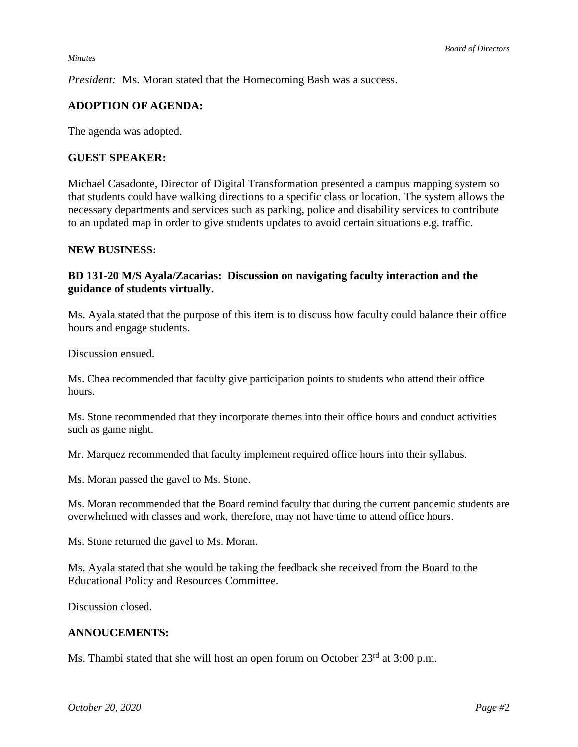#### *Minutes*

*President:* Ms. Moran stated that the Homecoming Bash was a success.

## **ADOPTION OF AGENDA:**

The agenda was adopted.

#### **GUEST SPEAKER:**

Michael Casadonte, Director of Digital Transformation presented a campus mapping system so that students could have walking directions to a specific class or location. The system allows the necessary departments and services such as parking, police and disability services to contribute to an updated map in order to give students updates to avoid certain situations e.g. traffic.

#### **NEW BUSINESS:**

## **BD 131-20 M/S Ayala/Zacarias: Discussion on navigating faculty interaction and the guidance of students virtually.**

Ms. Ayala stated that the purpose of this item is to discuss how faculty could balance their office hours and engage students.

Discussion ensued.

Ms. Chea recommended that faculty give participation points to students who attend their office hours.

Ms. Stone recommended that they incorporate themes into their office hours and conduct activities such as game night.

Mr. Marquez recommended that faculty implement required office hours into their syllabus.

Ms. Moran passed the gavel to Ms. Stone.

Ms. Moran recommended that the Board remind faculty that during the current pandemic students are overwhelmed with classes and work, therefore, may not have time to attend office hours.

Ms. Stone returned the gavel to Ms. Moran.

Ms. Ayala stated that she would be taking the feedback she received from the Board to the Educational Policy and Resources Committee.

Discussion closed.

### **ANNOUCEMENTS:**

Ms. Thambi stated that she will host an open forum on October 23<sup>rd</sup> at 3:00 p.m.